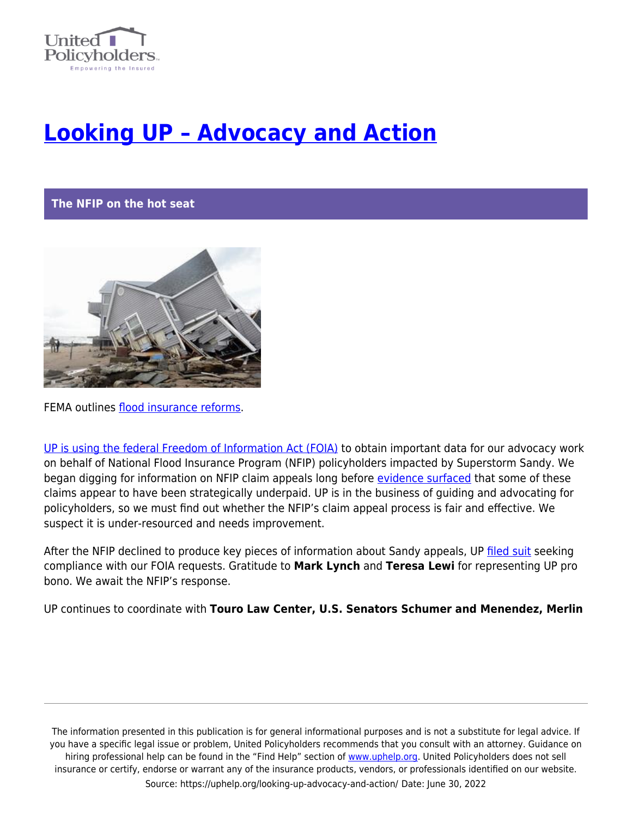

## **[Looking UP – Advocacy and Action](https://uphelp.org/looking-up-advocacy-and-action/)**

## **The NFIP on the hot seat**



FEMA outlines [flood insurance reforms](https://www.wshu.org/post/fema-outlines-flood-insurance-reforms#stream/0).

[UP is using the federal Freedom of Information Act \(FOIA\)](https://uphelp.org/fema-sued-over-records-related-to-superstorm-sandy-victims-and-other-flood-insurance-claims/) to obtain important data for our advocacy work on behalf of National Flood Insurance Program (NFIP) policyholders impacted by Superstorm Sandy. We began digging for information on NFIP claim appeals long before [evidence surfaced](https://uphelp.org/fema-responds-to-complaints-from-sandy-victims-agreeing-to-consider-reforms/) that some of these claims appear to have been strategically underpaid. UP is in the business of guiding and advocating for policyholders, so we must find out whether the NFIP's claim appeal process is fair and effective. We suspect it is under-resourced and needs improvement.

After the NFIP declined to produce key pieces of information about Sandy appeals, UP [filed suit](https://uphelp.org/wp-content/uploads/2021/01/FOIA-complaint-1.pdf) seeking compliance with our FOIA requests. Gratitude to **Mark Lynch** and **Teresa Lewi** for representing UP pro bono. We await the NFIP's response.

UP continues to coordinate with **Touro Law Center, U.S. Senators Schumer and Menendez, Merlin**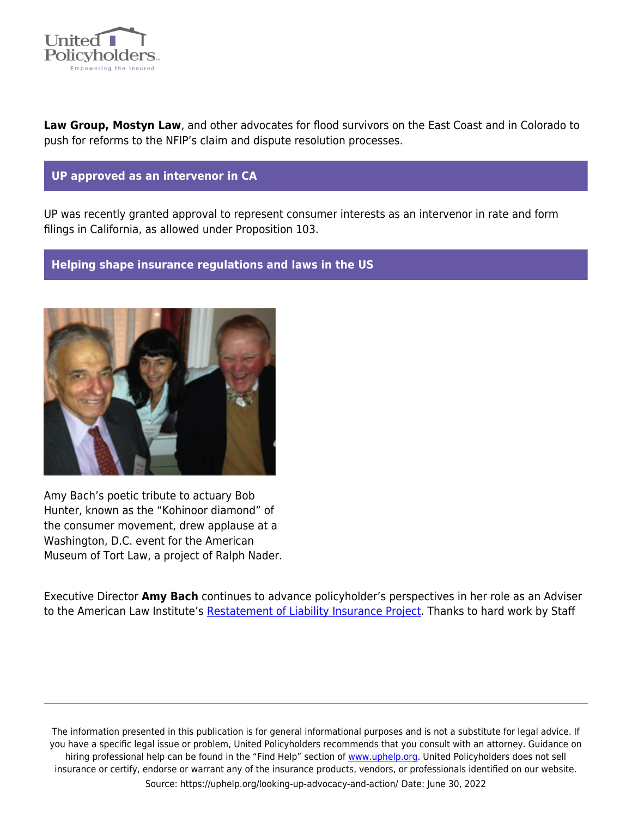

**Law Group, Mostyn Law**, and other advocates for flood survivors on the East Coast and in Colorado to push for reforms to the NFIP's claim and dispute resolution processes.

## **UP approved as an intervenor in CA**

UP was recently granted approval to represent consumer interests as an intervenor in rate and form filings in California, as allowed under Proposition 103.

## **Helping shape insurance regulations and laws in the US**



Amy Bach's poetic tribute to actuary Bob Hunter, known as the "Kohinoor diamond" of the consumer movement, drew applause at a Washington, D.C. event for the American Museum of Tort Law, a project of Ralph Nader.

Executive Director **Amy Bach** continues to advance policyholder's perspectives in her role as an Adviser to the American Law Institute's [Restatement of Liability Insurance Project](https://uphelp.org/the-policyholders-view-on-the-restatement-of-liability-insurance/). Thanks to hard work by Staff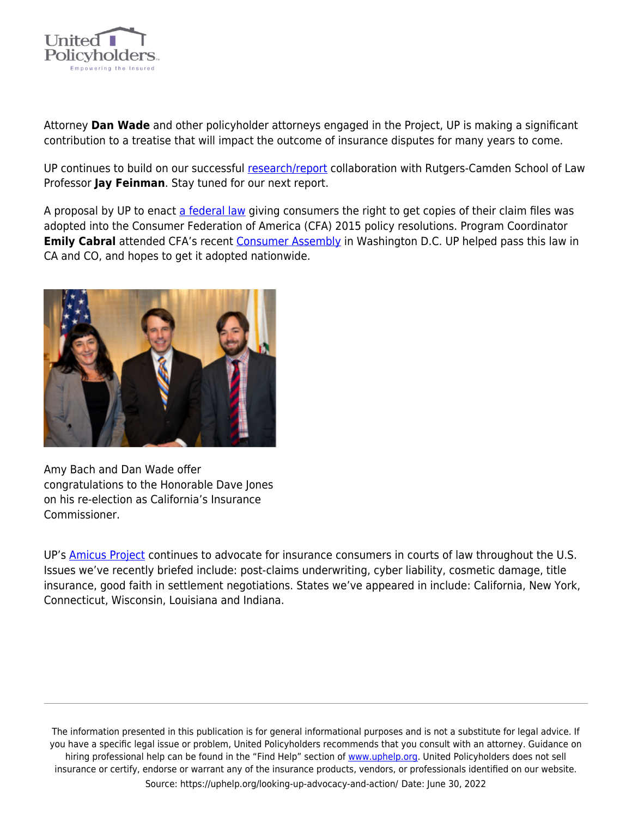

Attorney **Dan Wade** and other policyholder attorneys engaged in the Project, UP is making a significant contribution to a treatise that will impact the outcome of insurance disputes for many years to come.

UP continues to build on our successful [research/report](https://uphelp.org/claim-guidance-publications/50-state-bad-faith-survey/) collaboration with Rutgers-Camden School of Law Professor **Jay Feinman**. Stay tuned for our next report.

A proposal by UP to enact [a federal law](https://uphelp.org/claim-guidance-publications/50-state-bad-faith-survey/) giving consumers the right to get copies of their claim files was adopted into the Consumer Federation of America (CFA) 2015 policy resolutions. Program Coordinator **Emily Cabral** attended CFA's recent [Consumer Assembly](https://consumerfed.org/cfa_events/consumer-assembly/) in Washington D.C. UP helped pass this law in CA and CO, and hopes to get it adopted nationwide.



Amy Bach and Dan Wade offer congratulations to the Honorable Dave Jones on his re-election as California's Insurance Commissioner.

UP's **Amicus Project** continues to advocate for insurance consumers in courts of law throughout the U.S. Issues we've recently briefed include: post-claims underwriting, cyber liability, cosmetic damage, title insurance, good faith in settlement negotiations. States we've appeared in include: California, New York, Connecticut, Wisconsin, Louisiana and Indiana.